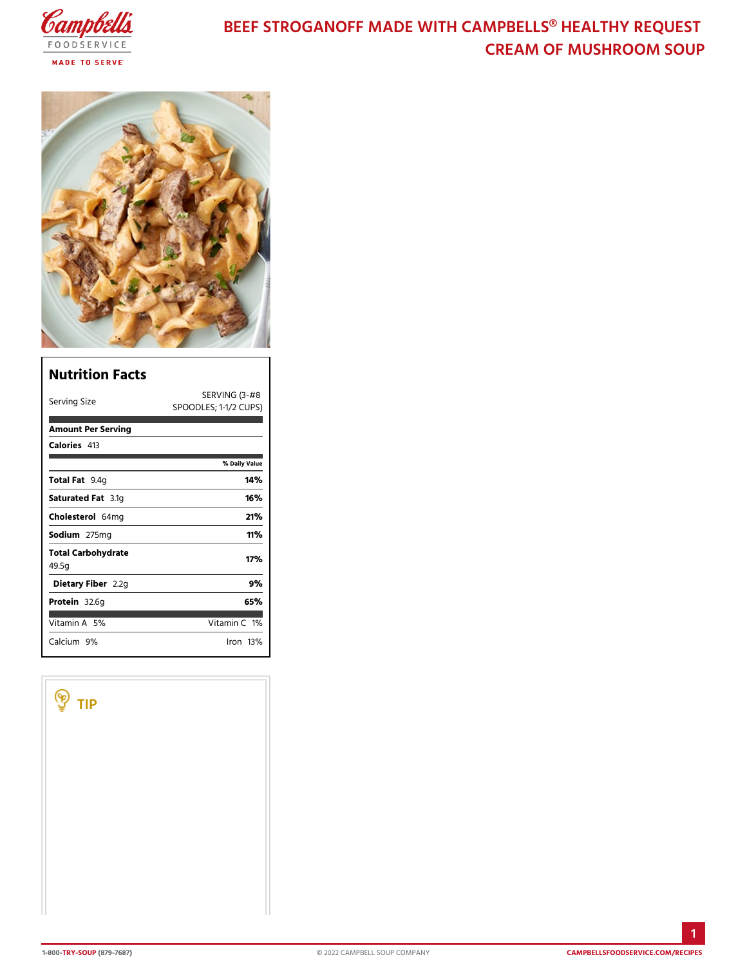## BEEF STROGANOFF MADE WITH CAMPBELLS CREAM OF MUSHROOM

| Nutrition Facts                    |                                                          |
|------------------------------------|----------------------------------------------------------|
| Serving Size                       | $SERVING$ $13 - #8$<br>SPOODLES; $1 - \frac{1}{2}$ CUPS) |
| Amount Per Serving                 |                                                          |
| Calorie4s13                        |                                                          |
|                                    | % Daily Vallue                                           |
| Total F9at4g                       | 14 %                                                     |
| Saturated 3F.atg                   | 16%                                                      |
| Choleste6e4lmg                     | 21%                                                      |
| Sodium275mg                        | 11%                                                      |
| Total Carbohydrate<br>49.5g        | 17%                                                      |
| Dietary F2ib2egn                   | 9%                                                       |
| Protei&2.6g                        | 65%                                                      |
| Vitamin5A6                         | Vitamin1O%                                               |
| Calciu <sup>9</sup> m <sup>o</sup> | $l$ ron 13 $\%$                                          |

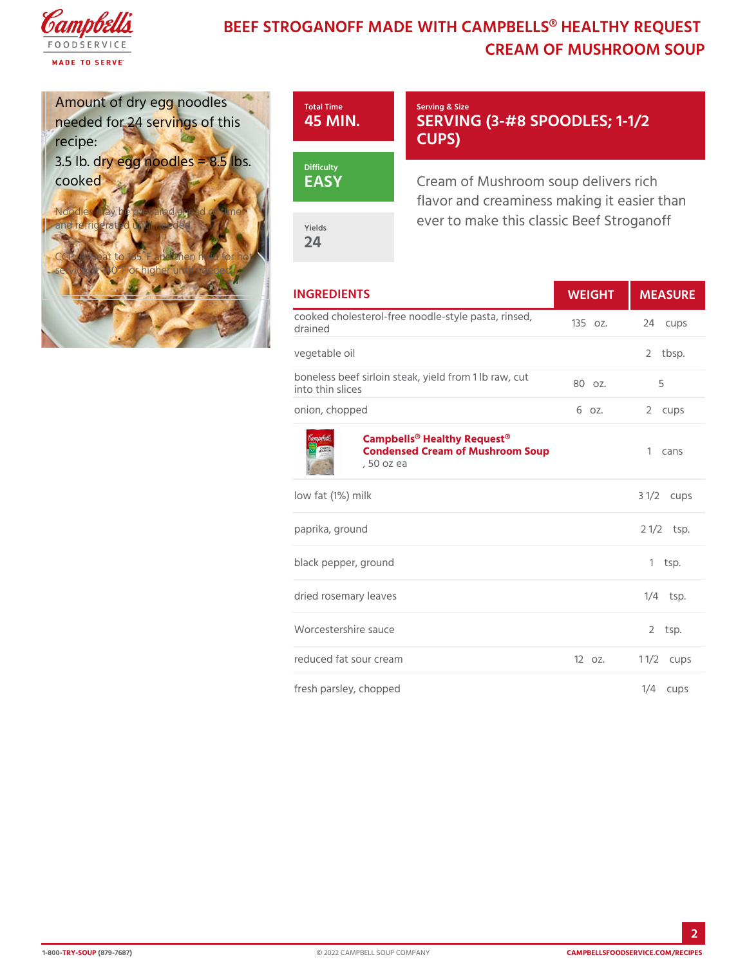## BEEF STROGANOFF MADE WITH CAMPBELLS CREAM OF MUSHROOM

| Amount of dry egg noo<br>needed for 24 servings<br>recipe:                                                                                            | Total Time<br>45 MIN                                                                | Serving & Size<br>SERVING (3-#8 SPOODL<br>CUPS                                                     |                      |  |
|-------------------------------------------------------------------------------------------------------------------------------------------------------|-------------------------------------------------------------------------------------|----------------------------------------------------------------------------------------------------|----------------------|--|
| 3.5 lb. dry egg 8n 5 oldblse.s<br>cooked<br>Noodles may be prepared ahead of time<br>and refrigerated until needed.<br>CCP: Reheat to 165UF annod the | <b>Difficulty</b><br>EASY<br>Yields<br>24                                           | Cream of Mushroom soup delive<br>flavor and creaminess making it<br>ever to make this classic Beef |                      |  |
| service at 140°F or higher until needed.                                                                                                              |                                                                                     |                                                                                                    |                      |  |
|                                                                                                                                                       | <b>INGREDIENTS</b><br>WEIGH                                                         |                                                                                                    | MEASU                |  |
|                                                                                                                                                       | cooked cholesterol-free noodle-style 3502. Z4 cups<br>drained                       |                                                                                                    |                      |  |
|                                                                                                                                                       | vegetable oil                                                                       |                                                                                                    | 2 tbsp.              |  |
|                                                                                                                                                       | boneless beef sirloin steak, yield from 1 lb raw, cut<br>into thin slices           |                                                                                                    |                      |  |
|                                                                                                                                                       | onion, chopped                                                                      | 6 oz.                                                                                              | 2 cups               |  |
|                                                                                                                                                       | Campbells® Healthy Request®<br>Condensed Cream of Mushroom Soup1 cans<br>. 50 oz ea |                                                                                                    |                      |  |
|                                                                                                                                                       | low fat (1%) milk                                                                   |                                                                                                    | $3 \frac{1}{2}$ cups |  |
|                                                                                                                                                       | paprika, ground                                                                     |                                                                                                    | $2 \frac{1}{2}$ sp.  |  |
|                                                                                                                                                       | black pepper, ground                                                                |                                                                                                    | $1$ tsp.             |  |
|                                                                                                                                                       | dried rosemary leaves                                                               |                                                                                                    | $1/4$ tsp.           |  |
|                                                                                                                                                       | Worcestershire sauce                                                                |                                                                                                    | $2$ tsp.             |  |
|                                                                                                                                                       | reduced fat sour cream<br>$120z$ .                                                  |                                                                                                    | 1 $1/2$ cups         |  |
|                                                                                                                                                       | fresh parsley, chopped                                                              |                                                                                                    | $1/4$ cups           |  |

2